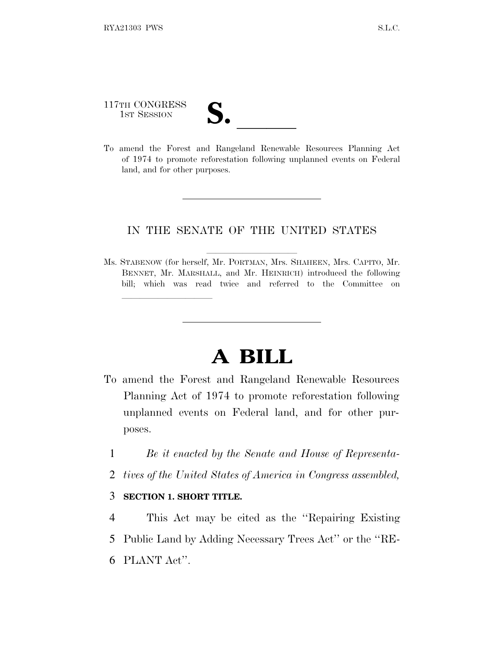117TH CONGRESS

lland and a state of the state of the state of the state of the state of the state of the state of the state o

117TH CONGRESS<br>
1ST SESSION<br>
To amend the Forest and Rangeland Renewable Resources Planning Act of 1974 to promote reforestation following unplanned events on Federal land, and for other purposes.

## IN THE SENATE OF THE UNITED STATES

Ms. STABENOW (for herself, Mr. PORTMAN, Mrs. SHAHEEN, Mrs. CAPITO, Mr. BENNET, Mr. MARSHALL, and Mr. HEINRICH) introduced the following bill; which was read twice and referred to the Committee on

## **A BILL**

- To amend the Forest and Rangeland Renewable Resources Planning Act of 1974 to promote reforestation following unplanned events on Federal land, and for other purposes.
	- 1 *Be it enacted by the Senate and House of Representa-*
	- 2 *tives of the United States of America in Congress assembled,*

## 3 **SECTION 1. SHORT TITLE.**

4 This Act may be cited as the ''Repairing Existing 5 Public Land by Adding Necessary Trees Act'' or the ''RE-6 PLANT Act''.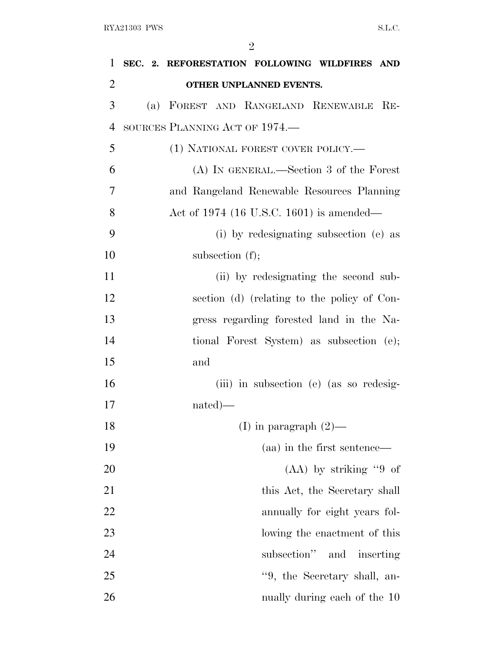| 1              | SEC. 2. REFORESTATION FOLLOWING WILDFIRES AND   |  |
|----------------|-------------------------------------------------|--|
| $\overline{2}$ | OTHER UNPLANNED EVENTS.                         |  |
| 3              | (a) FOREST AND RANGELAND RENEWABLE<br>$\rm{Re}$ |  |
| $\overline{4}$ | SOURCES PLANNING ACT OF 1974.—                  |  |
| 5              | (1) NATIONAL FOREST COVER POLICY.—              |  |
| 6              | (A) IN GENERAL.—Section 3 of the Forest         |  |
| 7              | and Rangeland Renewable Resources Planning      |  |
| 8              | Act of 1974 (16 U.S.C. 1601) is amended—        |  |
| 9              | (i) by redesignating subsection (e) as          |  |
| 10             | subsection $(f)$ ;                              |  |
| 11             | (ii) by redesignating the second sub-           |  |
| 12             | section (d) (relating to the policy of Con-     |  |
| 13             | gress regarding forested land in the Na-        |  |
| 14             | tional Forest System) as subsection (e);        |  |
| 15             | and                                             |  |
| 16             | (iii) in subsection (e) (as so redesig-         |  |
| 17             | $nated)$ —                                      |  |
| 18             | (I) in paragraph $(2)$ —                        |  |
| 19             | (aa) in the first sentence—                     |  |
| 20             | $(AA)$ by striking "9 of                        |  |
| 21             | this Act, the Secretary shall                   |  |
| 22             | annually for eight years fol-                   |  |
| 23             | lowing the enactment of this                    |  |
| 24             | subsection"<br>and inserting                    |  |
| 25             | "9, the Secretary shall, an-                    |  |
| 26             | nually during each of the 10                    |  |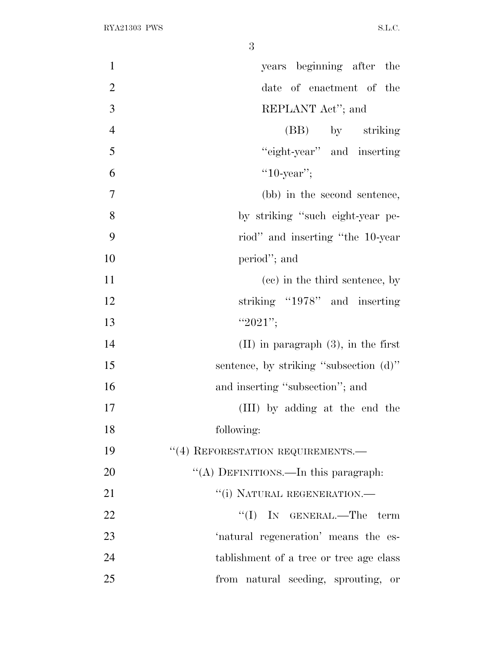| $\mathbf{1}$   | years beginning after the                |
|----------------|------------------------------------------|
| $\overline{2}$ | date of enactment of the                 |
| 3              | REPLANT Act"; and                        |
| $\overline{4}$ | (BB) by striking                         |
| 5              | "eight-year" and inserting               |
| 6              | " $10$ -year";                           |
| $\overline{7}$ | (bb) in the second sentence,             |
| 8              | by striking "such eight-year pe-         |
| 9              | riod" and inserting "the 10-year"        |
| 10             | period"; and                             |
| 11             | (cc) in the third sentence, by           |
| 12             | striking "1978" and inserting            |
| 13             | " $2021"$ ;                              |
| 14             | $(II)$ in paragraph $(3)$ , in the first |
| 15             | sentence, by striking "subsection (d)"   |
| 16             | and inserting "subsection"; and          |
| 17             | (III) by adding at the end the           |
| 18             | following:                               |
| 19             | "(4) REFORESTATION REQUIREMENTS.-        |
| 20             | "(A) DEFINITIONS.—In this paragraph:     |
| 21             | "(i) NATURAL REGENERATION.-              |
| 22             | $\lq\lq$ (I) IN GENERAL.—The<br>term     |
| 23             | 'natural regeneration' means the es-     |
| 24             | tablishment of a tree or tree age class  |
| 25             | from natural seeding, sprouting, or      |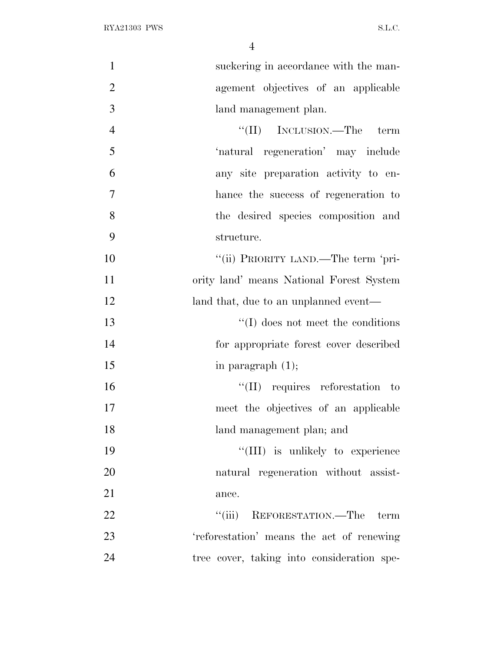| $\mathbf{1}$   | suckering in accordance with the man-      |
|----------------|--------------------------------------------|
| $\mathbf{2}$   | agement objectives of an applicable        |
| $\overline{3}$ | land management plan.                      |
| $\overline{4}$ | "(II) INCLUSION.—The term                  |
| 5              | 'natural regeneration' may include         |
| 6              | any site preparation activity to en-       |
| $\tau$         | hance the success of regeneration to       |
| 8              | the desired species composition and        |
| 9              | structure.                                 |
| 10             | "(ii) PRIORITY LAND.—The term 'pri-        |
| 11             | ority land' means National Forest System   |
| 12             | land that, due to an unplanned event—      |
| 13             | $\lq\lq$ does not meet the conditions      |
| 14             | for appropriate forest cover described     |
| 15             | in paragraph $(1)$ ;                       |
| 16             | $\lq\lq$ (II) requires reforestation to    |
| 17             | meet the objectives of an applicable       |
| 18             | land management plan; and                  |
| 19             | "(III) is unlikely to experience           |
| 20             | natural regeneration without assist-       |
| 21             | ance.                                      |
| 22             | "(iii) REFORESTATION.—The term             |
| 23             | 'reforestation' means the act of renewing  |
| 24             | tree cover, taking into consideration spe- |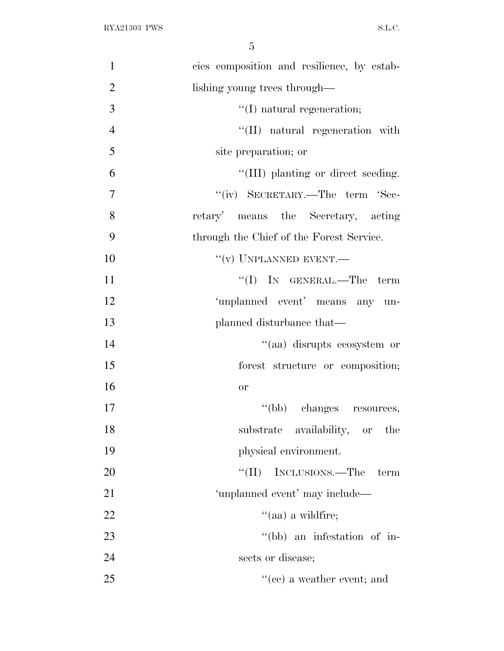| $\mathbf{1}$   | cies composition and resilience, by estab- |
|----------------|--------------------------------------------|
| $\mathbf{2}$   | lishing young trees through—               |
| 3              | $\lq\lq$ (I) natural regeneration;         |
| $\overline{4}$ | "(II) natural regeneration with            |
| 5              | site preparation; or                       |
| 6              | "(III) planting or direct seeding.         |
| $\overline{7}$ | "(iv) SECRETARY.—The term 'Sec-            |
| 8              | retary' means the Secretary, acting        |
| 9              | through the Chief of the Forest Service.   |
| 10             | $``(v)$ UNPLANNED EVENT.—                  |
| 11             | "(I) IN GENERAL.—The term                  |
| 12             | 'unplanned event' means any un-            |
| 13             | planned disturbance that—                  |
| 14             | "(aa) disrupts ecosystem or                |
| 15             | forest structure or composition;           |
| 16             | <b>or</b>                                  |
| 17             | "(bb) changes resources,                   |
| 18             | substrate availability, or the             |
| 19             | physical environment.                      |
| 20             | "(II) INCLUSIONS.—The<br>term              |
| 21             | 'unplanned event' may include—             |
| 22             | $\lq(aa)$ a wildfire;                      |
| 23             | "(bb) an infestation of in-                |
| 24             | sects or disease;                          |
| 25             | $f'(ce)$ a weather event; and              |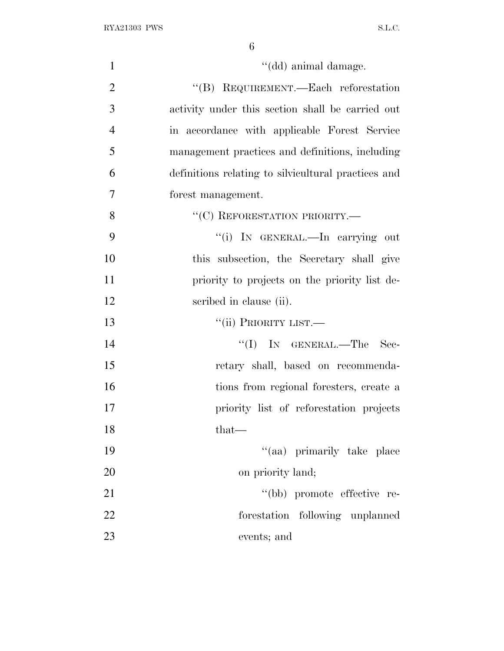| $\mathbf{1}$   | "(dd) animal damage.                                |
|----------------|-----------------------------------------------------|
| $\overline{2}$ | "(B) REQUIREMENT.—Each reforestation                |
| 3              | activity under this section shall be carried out    |
| $\overline{4}$ | in accordance with applicable Forest Service        |
| 5              | management practices and definitions, including     |
| 6              | definitions relating to silvicultural practices and |
| 7              | forest management.                                  |
| 8              | "(C) REFORESTATION PRIORITY.-                       |
| 9              | "(i) IN GENERAL.—In carrying out                    |
| 10             | this subsection, the Secretary shall give           |
| 11             | priority to projects on the priority list de-       |
| 12             | scribed in clause (ii).                             |
| 13             | "(ii) PRIORITY LIST.—                               |
| 14             | $\lq\lq$ (I) IN GENERAL.—The<br>Sec-                |
| 15             | retary shall, based on recommenda-                  |
| 16             | tions from regional foresters, create a             |
| 17             | priority list of reforestation projects             |
| 18             | $that-$                                             |
| 19             | "(aa) primarily take place                          |
| 20             | on priority land;                                   |
| 21             | "(bb) promote effective re-                         |
| 22             | forestation following unplanned                     |
| 23             | events; and                                         |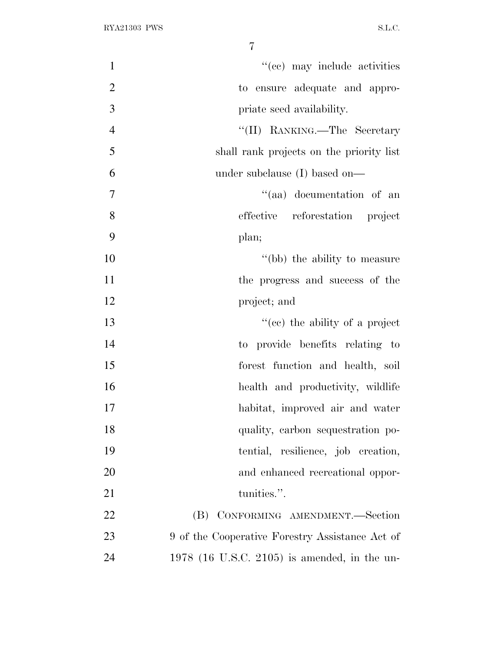| $\mathbf{1}$   | "(cc) may include activities                    |
|----------------|-------------------------------------------------|
| $\overline{2}$ | to ensure adequate and appro-                   |
| 3              | priate seed availability.                       |
| $\overline{4}$ | "(II) RANKING.—The Secretary                    |
| 5              | shall rank projects on the priority list        |
| 6              | under subclause (I) based on—                   |
| $\tau$         | "(aa) documentation of an                       |
| 8              | effective reforestation project                 |
| 9              | plan;                                           |
| 10             | "(bb) the ability to measure                    |
| 11             | the progress and success of the                 |
| 12             | project; and                                    |
| 13             | "(ce) the ability of a project                  |
| 14             | to provide benefits relating to                 |
| 15             | forest function and health, soil                |
| 16             | health and productivity, wildlife               |
| 17             | habitat, improved air and water                 |
| 18             | quality, carbon sequestration po-               |
| 19             | tential, resilience, job creation,              |
| 20             | and enhanced recreational oppor-                |
| 21             | tunities.".                                     |
| 22             | CONFORMING AMENDMENT.-Section<br>(B)            |
| 23             | 9 of the Cooperative Forestry Assistance Act of |
| 24             | $1978$ (16 U.S.C. 2105) is amended, in the un-  |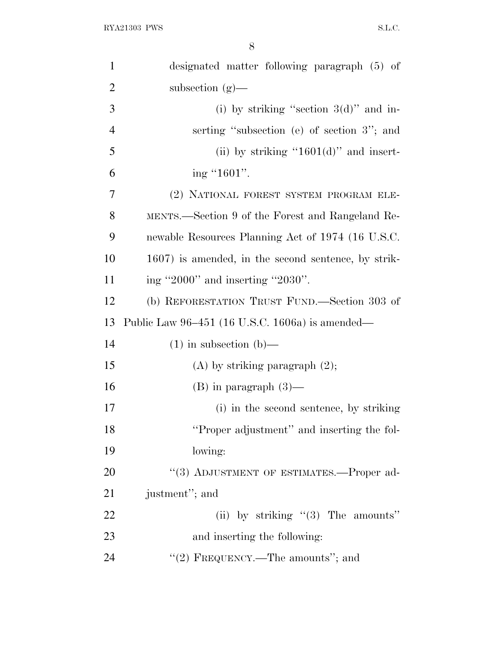| $\mathbf{1}$   | designated matter following paragraph (5) of        |
|----------------|-----------------------------------------------------|
| $\overline{2}$ | subsection $(g)$ —                                  |
| 3              | (i) by striking "section $3(d)$ " and in-           |
| $\overline{4}$ | serting "subsection (e) of section 3"; and          |
| 5              | (ii) by striking "1601(d)" and insert-              |
| 6              | ing "1601".                                         |
| 7              | (2) NATIONAL FOREST SYSTEM PROGRAM ELE-             |
| 8              | MENTS.—Section 9 of the Forest and Rangeland Re-    |
| 9              | newable Resources Planning Act of 1974 (16 U.S.C.   |
| 10             | 1607) is amended, in the second sentence, by strik- |
| 11             | ing "2000" and inserting "2030".                    |
| 12             | (b) REFORESTATION TRUST FUND.—Section 303 of        |
| 13             | Public Law 96–451 (16 U.S.C. 1606a) is amended—     |
| 14             | $(1)$ in subsection $(b)$ —                         |
| 15             | $(A)$ by striking paragraph $(2)$ ;                 |
| 16             | $(B)$ in paragraph $(3)$ —                          |
| 17             | (i) in the second sentence, by striking             |
| 18             | "Proper adjustment" and inserting the fol-          |
| 19             | lowing:                                             |
| 20             | "(3) ADJUSTMENT OF ESTIMATES.—Proper ad-            |
| 21             | justment"; and                                      |
| 22             | (ii) by striking $(3)$ The amounts"                 |
| 23             |                                                     |
|                | and inserting the following:                        |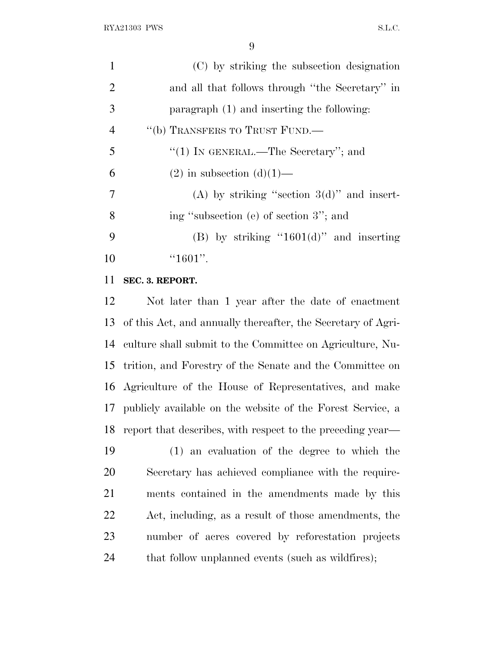| 1              | (C) by striking the subsection designation      |
|----------------|-------------------------------------------------|
| 2              | and all that follows through "the Secretary" in |
| 3              | paragraph (1) and inserting the following:      |
| $\overline{4}$ | "(b) TRANSFERS TO TRUST FUND.—                  |
| 5              | "(1) IN GENERAL.—The Secretary"; and            |
| 6              | $(2)$ in subsection $(d)(1)$ —                  |
| 7              | (A) by striking "section $3(d)$ " and insert-   |
| 8              | ing "subsection (e) of section 3"; and          |
| 9              | (B) by striking "1601(d)" and inserting         |
| 10             | " $1601"$ .                                     |

## **SEC. 3. REPORT.**

 Not later than 1 year after the date of enactment of this Act, and annually thereafter, the Secretary of Agri- culture shall submit to the Committee on Agriculture, Nu- trition, and Forestry of the Senate and the Committee on Agriculture of the House of Representatives, and make publicly available on the website of the Forest Service, a report that describes, with respect to the preceding year—

 (1) an evaluation of the degree to which the Secretary has achieved compliance with the require- ments contained in the amendments made by this Act, including, as a result of those amendments, the number of acres covered by reforestation projects 24 that follow unplanned events (such as wildfires);